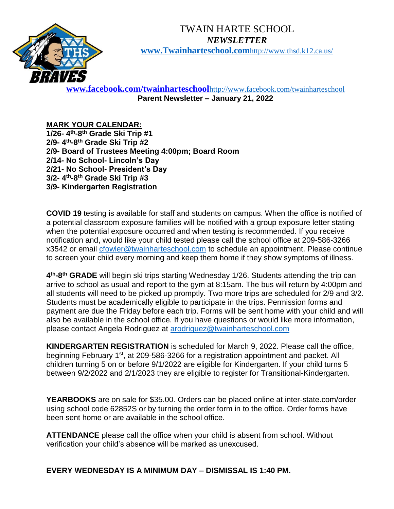

## TWAIN HARTE SCHOOL *NEWSLETTER* **[www.Twainharteschool.com](http://www.twainharteschool.com/)**[http://www.thsd.k12.ca.us/](http://www.twainharteschool.com/)

**[www.facebook.com/twainharteschool](http://www.facebook.com/twainharteschool)**<http://www.facebook.com/twainharteschool> **Parent Newsletter – January 21, 2022**

## **MARK YOUR CALENDAR:**

**1/26- 4 th-8 th Grade Ski Trip #1 2/9- 4 th-8 th Grade Ski Trip #2 2/9- Board of Trustees Meeting 4:00pm; Board Room 2/14- No School- Lincoln's Day 2/21- No School- President's Day 3/2- 4 th-8 th Grade Ski Trip #3 3/9- Kindergarten Registration**

**COVID 19** testing is available for staff and students on campus. When the office is notified of a potential classroom exposure families will be notified with a group exposure letter stating when the potential exposure occurred and when testing is recommended. If you receive notification and, would like your child tested please call the school office at 209-586-3266 x3542 or email [cfowler@twainharteschool.com](mailto:cfowler@twainharteschool.com) to schedule an appointment. Please continue to screen your child every morning and keep them home if they show symptoms of illness.

**4 th-8 th GRADE** will begin ski trips starting Wednesday 1/26. Students attending the trip can arrive to school as usual and report to the gym at 8:15am. The bus will return by 4:00pm and all students will need to be picked up promptly. Two more trips are scheduled for 2/9 and 3/2. Students must be academically eligible to participate in the trips. Permission forms and payment are due the Friday before each trip. Forms will be sent home with your child and will also be available in the school office. If you have questions or would like more information, please contact Angela Rodriguez at [arodriguez@twainharteschool.com](mailto:arodriguez@twainharteschool.com)

**KINDERGARTEN REGISTRATION** is scheduled for March 9, 2022. Please call the office, beginning February 1<sup>st</sup>, at 209-586-3266 for a registration appointment and packet. All children turning 5 on or before 9/1/2022 are eligible for Kindergarten. If your child turns 5 between 9/2/2022 and 2/1/2023 they are eligible to register for Transitional-Kindergarten.

**YEARBOOKS** are on sale for \$35.00. Orders can be placed online at inter-state.com/order using school code 62852S or by turning the order form in to the office. Order forms have been sent home or are available in the school office.

**ATTENDANCE** please call the office when your child is absent from school. Without verification your child's absence will be marked as unexcused.

**EVERY WEDNESDAY IS A MINIMUM DAY – DISMISSAL IS 1:40 PM.**